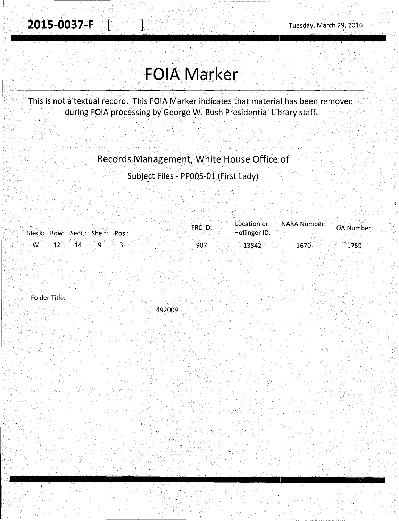## **FOIA Marker**

 $\mathbf{1}$ 

This is not a textual record. This FOIA Marker indicates that material has been removed during FOIA processing by George W. Bush Presidential Library staff.

Records Management, White House Office of

Subject Files - PP005-01 (First Lady)

|   |                                 | FRC.ID: | Location or   | NARA Number: | <b>OA Number:</b> |
|---|---------------------------------|---------|---------------|--------------|-------------------|
|   | Stack: Row: Sect.: Shelf: Pos.: |         | Hollinger ID: |              |                   |
| W |                                 | 907     | 13842         | 1670         | 1759              |
|   |                                 |         |               |              |                   |

Folder Title:

492009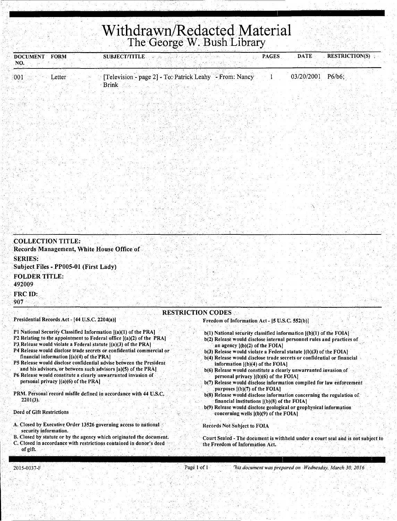## Withdrawn/Redacted Material The George W. Bush Library

| <b>DOCUMENT</b><br>NO.                 | <b>FORM</b>                                                                           | <b>SUBJECT/TITLE</b>                                                                                                                                                                                                                                                                                                                                                                                                                                                                            |                                                                                                                                                                                                                                                                                                                                                                                                                                                                                                                                                            | <b>PAGES</b> | <b>DATE</b> | <b>RESTRICTION(S)</b>                                                            |
|----------------------------------------|---------------------------------------------------------------------------------------|-------------------------------------------------------------------------------------------------------------------------------------------------------------------------------------------------------------------------------------------------------------------------------------------------------------------------------------------------------------------------------------------------------------------------------------------------------------------------------------------------|------------------------------------------------------------------------------------------------------------------------------------------------------------------------------------------------------------------------------------------------------------------------------------------------------------------------------------------------------------------------------------------------------------------------------------------------------------------------------------------------------------------------------------------------------------|--------------|-------------|----------------------------------------------------------------------------------|
| :001                                   | Letter                                                                                | [Television - page 2] - To: Patrick Leahy - From: Nancy<br>Brink                                                                                                                                                                                                                                                                                                                                                                                                                                |                                                                                                                                                                                                                                                                                                                                                                                                                                                                                                                                                            |              | 03/20/2001  | P6/b6;                                                                           |
|                                        |                                                                                       |                                                                                                                                                                                                                                                                                                                                                                                                                                                                                                 |                                                                                                                                                                                                                                                                                                                                                                                                                                                                                                                                                            |              |             |                                                                                  |
|                                        |                                                                                       |                                                                                                                                                                                                                                                                                                                                                                                                                                                                                                 |                                                                                                                                                                                                                                                                                                                                                                                                                                                                                                                                                            |              |             |                                                                                  |
|                                        |                                                                                       |                                                                                                                                                                                                                                                                                                                                                                                                                                                                                                 |                                                                                                                                                                                                                                                                                                                                                                                                                                                                                                                                                            |              |             |                                                                                  |
|                                        | <b>COLLECTION TITLE:</b>                                                              |                                                                                                                                                                                                                                                                                                                                                                                                                                                                                                 |                                                                                                                                                                                                                                                                                                                                                                                                                                                                                                                                                            |              |             |                                                                                  |
| <b>SERIES:</b><br><b>FOLDER TITLE:</b> | Records Management, White House Office of<br>Subject Files - PP005-01 (First Lady)    |                                                                                                                                                                                                                                                                                                                                                                                                                                                                                                 |                                                                                                                                                                                                                                                                                                                                                                                                                                                                                                                                                            |              |             |                                                                                  |
| 492009<br>FRC ID:<br>907               |                                                                                       |                                                                                                                                                                                                                                                                                                                                                                                                                                                                                                 |                                                                                                                                                                                                                                                                                                                                                                                                                                                                                                                                                            |              |             |                                                                                  |
|                                        |                                                                                       |                                                                                                                                                                                                                                                                                                                                                                                                                                                                                                 | <b>RESTRICTION CODES</b>                                                                                                                                                                                                                                                                                                                                                                                                                                                                                                                                   |              |             |                                                                                  |
|                                        | Presidential Records Act - [44 U.S.C. 2204(a)]                                        |                                                                                                                                                                                                                                                                                                                                                                                                                                                                                                 | Freedom of Information Act - [5 U.S.C. 552(b)]                                                                                                                                                                                                                                                                                                                                                                                                                                                                                                             |              |             |                                                                                  |
|                                        | financial information $[(a)(4)$ of the PRA]<br>personal privacy $[(a)(6)$ of the PRA] | P1 National Security Classified Information [(a)(1) of the PRA]<br>P2 Relating to the appointment to Federal office $[(a)(2)$ of the PRA]<br>P3 Release would violate a Federal statute $[(a)(3)$ of the PRA<br>P4 Release would disclose trade secrets or confidential commercial or<br>P5 Release would disclose confidential advise between the President<br>and his advisors, or between such advisors $(a)(5)$ of the PRA<br>P6 Release would constitute a clearly unwarranted invasion of | b(1) National security classified information [(b)(1) of the FOIA]<br>b(2) Release would disclose internal personnel rules and practices of<br>an agency $[(b)(2)$ of the FOIA.<br>b(3) Release would violate a Federal statute [(b)(3) of the FOIA]<br>b(4) Release would disclose trade secrets or confidential or financial<br>information $[(b)(4)$ of the FOIA].<br>b(6) Release would constitute a clearly unwarranted invasion of<br>personal privacy $(6)(6)$ of the FOIA]<br>b(7) Release would disclose information compiled for law enforcement |              |             |                                                                                  |
| 2201(3).                               |                                                                                       | PRM. Personal record misfile defined in accordance with 44 U.S.C.                                                                                                                                                                                                                                                                                                                                                                                                                               | purposes $[(b)(7)$ of the FOIA]<br>b(8) Release would disclose information concerning the regulation of<br>financial institutions $[(b)(8)$ of the FOIA]<br>b(9) Release would disclose geological or geophysical information                                                                                                                                                                                                                                                                                                                              |              |             |                                                                                  |
| Deed of Gift Restrictions              |                                                                                       |                                                                                                                                                                                                                                                                                                                                                                                                                                                                                                 | concerning wells $[(b)(9)$ of the FOIA]                                                                                                                                                                                                                                                                                                                                                                                                                                                                                                                    |              |             |                                                                                  |
| security information.                  |                                                                                       | A. Closed by Executive Order 13526 governing access to national                                                                                                                                                                                                                                                                                                                                                                                                                                 | Records Not Subject to FOIA                                                                                                                                                                                                                                                                                                                                                                                                                                                                                                                                |              |             |                                                                                  |
| of gift.                               |                                                                                       | B. Closed by statute or by the agency which originated the document.<br>C. Closed in accordance with restrictions contained in donor's deed                                                                                                                                                                                                                                                                                                                                                     | the Freedom of Information Act.                                                                                                                                                                                                                                                                                                                                                                                                                                                                                                                            |              |             | Court Sealed - The document is withheld under a court seal and is not subject to |

Page 1 of 1 . *Chis.document was prepared on Wednesday, March 30, 2016*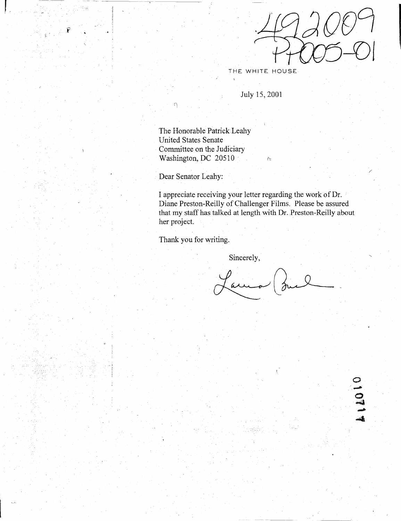THE WHITE HOUSE

## July 15, 2001

The Honorable Patrick Leahy United States Senate Committee on the Judiciary Washington, DC 20510 *r,* 

Dear Senator Leahy:

 $\boldsymbol{r}$ 

I appreciate receiving your letter regarding the work of Dr. Diane Preston-Reilly of Challenger Films. Please be assured that my staff has talked at length with Dr. Preston-Reilly about her project.

Thank you for writing.

Sincerely,

101010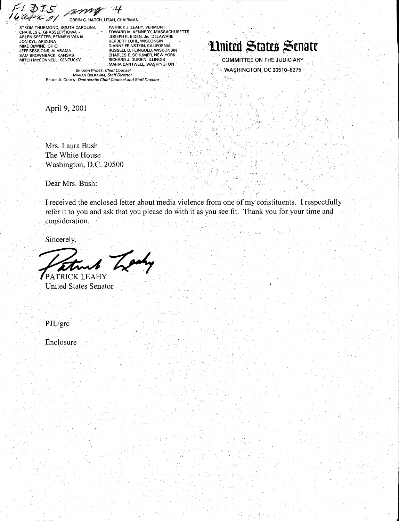$z_{\perp} \gg \tau_{\perp}$ ORRIN G. HATCH, UTAH, CHAIRMAN

STROM THURMOND, SOUTH CAROLINA<br>CHARLES E. GRASSLEY, IOWA +<br>ARLEN SPECTER, PENNSYLVANIA JON KYL, ARIZONA MIKE DEWINE, OHIO JEFF SESSIONS, ALABAMA SAM BROWNBACK, KANSAS MITCH McCONNELL, KENTUCKY

PATRICK J. LEAHY, VERMONT<br>EDWARD M. KENNEDY, MASSACHUSETTS<br>JOSEPH R. BIDEN, J.R., DELAWARE<br>HERBERT KOHL, WISCONSIN<br>DIANNE FEINSTEIN, CALIFORNIA<br>RUSSELL D. FEINGOLD, WISCONSIN<br>CHARLES E. SCHUMER, NEW YORK<br>RICHARD J. DURBIN, MARIA CANTWELL, WASHINGTON

**Hnited States Senate** 

COMMITTEE ON THE JUDICIARY WASHINGTON, DC 20510-6275

SHARON PROST, Chief Counsel MAKAN DELRAHIM, Staff Director BRUCE A. COHEN, Democratic Chief Counsel and Staff Director

April 9, 2001

Mrs. Laura Bush The White House Washington, D.C. 20500

Dear Mrs. Bush:

I received the enclosed letter about media violence from one of my constituents. I respectfully refer it to you and ask that you please do with it as you see fit. Thank you for your time and. consideration.

甏

 $\sim$ 

Sincerely,

Sincerely,

United States Senator

PJL/grc

Enclosure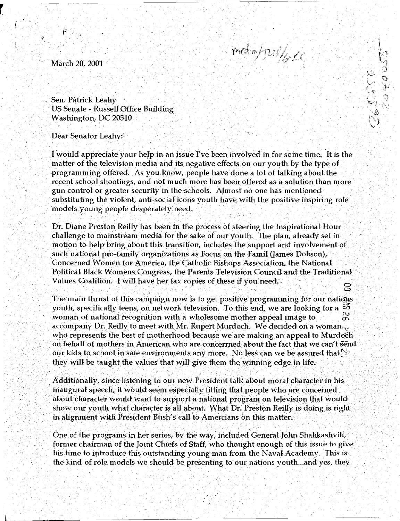March 20, 2001

Ÿ

" .

media/jul/6 cc

 $\mathcal{L}$ 

Central

Sen. Patrick Leahy US Senate - Russell Office Building Washington, DC 20510.

Dear Senator Leahy:

I would appreciate your help in an issue I've been involved in for some time. It is the matter of the television media and its negative effects on our youth by the type of programming offered. As you know, people have done a lot of talking about the recent school shootings, and not much more has been offered as a solution than more gun control or greater security in the schools. Almost no one has mentioned substituting the violent, anti-social icons youth have with the positive inspiring role models young people desperately need.

Dr. Diane Preston Reilly has been in the process of steering the Inspirational Hour challenge to mainstream media for the sake of our youth. The plan, already set in . motion to help bring about this transition, includes the support and involvement of such national pro-family organizations as Focus on the Famil (James Dobson), Concerned Women for America, the Catholic Bishops Association, the National Political Black Womens Congress, the Parents Television Council and the Traditional Values Coalition. I will have her fax copies of these if you need. *CJ* 

The main thrust of this campaign now is to get positive programming for our nations youth, specifically teens, on network television. To this end, we are looking for a woman of national recognition with a wholesome mother appeal image to accompany Dr. Reilly to meet with Mr. Rupert Murdoch. We decided on a woman. who represents the best of motherhood because we are making an appeal to Murdoch on behalf of mothers in American who are· concerrned about the fact that we can't 5end our kids to school in safe environments any more. No less can we be assured that  $\bigcirc$ they will be taught the values that will give them the winning edge in life.

Additionally, since listening to our new President talk about moral character in his inaugural speech, it would seem especially fitting that people who are concerned about character would want to support a national program on television that would show our youth what character is all about. What Dr. Preston Reilly is doing is right in alignment with President Bush's call to Amercians on this matter.

One of the programs in her series, by the way, included General John Shalikashvili, former chairman of the Joint Chiefs of Staff, who thought enough of this issue to give his time to introduce this outstanding young man from the Naval Academy. This is the kind of role models we should be presenting to our nations youth ... and yes, they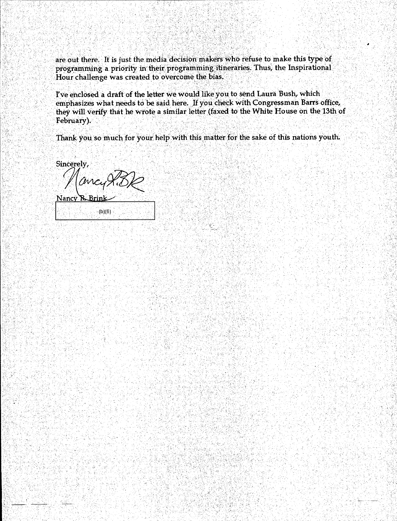are out there. It is just the media decision makers who refuse to make this type of programming a priority in their programming tineraries. Thus, the Inspirational Hour challenge was created to overcome the bias.

I've enclosed a draft of the letter we would like you to send Laura Bush, which emphasizes what needs to be said here. If you check with Congressman Barrs office, they will verify that he wrote a similar letter (faxed to the White House on the 13th of February).

Thank you so much for your help with this matter for the sake of this nations youth.

Sincerely, ane Nancy R.Brin

 $(b)(6)$